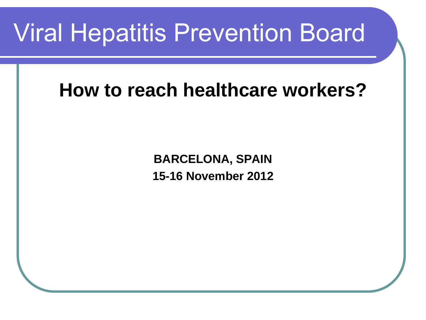## Viral Hepatitis Prevention Board

#### **How to reach healthcare workers?**

**BARCELONA, SPAIN 15-16 November 2012**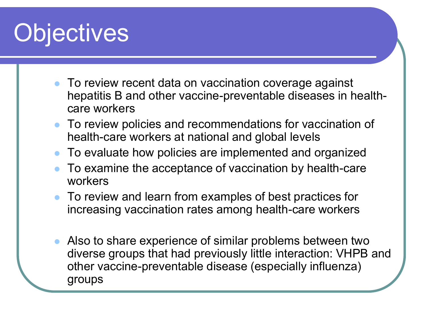# **Objectives**

- To review recent data on vaccination coverage against hepatitis B and other vaccine-preventable diseases in healthcare workers
- To review policies and recommendations for vaccination of health-care workers at national and global levels
- To evaluate how policies are implemented and organized
- To examine the acceptance of vaccination by health-care workers
- To review and learn from examples of best practices for increasing vaccination rates among health-care workers
- Also to share experience of similar problems between two diverse groups that had previously little interaction: VHPB and other vaccine-preventable disease (especially influenza) groups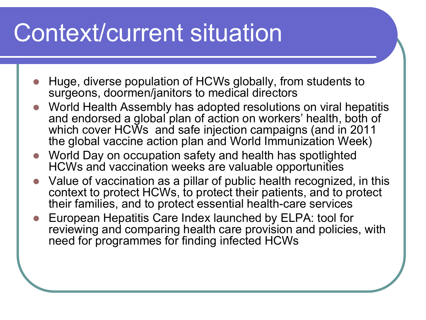# Context/current situation

- Huge, diverse population of HCWs globally, from students to surgeons, doormen/janitors to medical directors
- World Health Assembly has adopted resolutions on viral hepatitis and endorsed a global plan of action on workers' health, both of which cover HCWs and safe injection campaigns (and in 2011 the global vaccine action plan and World Immunization Week)
- World Day on occupation safety and health has spotlighted HCWs and vaccination weeks are valuable opportunities
- Value of vaccination as a pillar of public health recognized, in this context to protect HCWs, to protect their patients, and to protect their families, and to protect essential health-care services
- European Hepatitis Care Index launched by ELPA: tool for reviewing and comparing health care provision and policies, with need for programmes for finding infected HCWs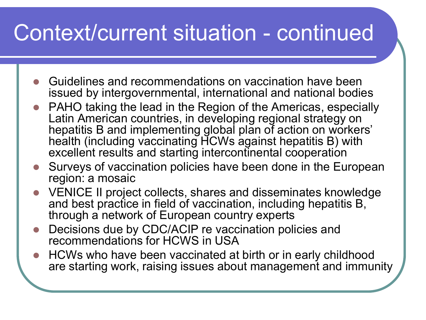- Guidelines and recommendations on vaccination have been issued by intergovernmental, international and national bodies
- PAHO taking the lead in the Region of the Americas, especially Latin American countries, in developing regional strategy on hepatitis B and implementing global plan of action on workers' health (including vaccinating HCWs against hepatitis B) with excellent results and starting intercontinental cooperation
- Surveys of vaccination policies have been done in the European region: a mosaic
- VENICE II project collects, shares and disseminates knowledge and best practice in field of vaccination, including hepatitis B, through a network of European country experts
- Decisions due by CDC/ACIP re vaccination policies and recommendations for HCWS in USA
- HCWs who have been vaccinated at birth or in early childhood are starting work, raising issues about management and immunity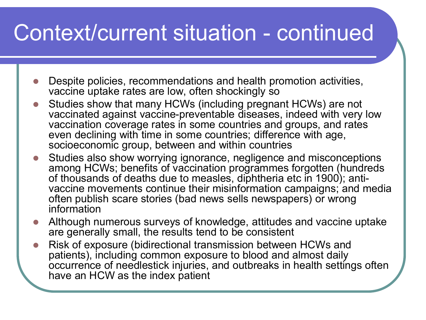- Despite policies, recommendations and health promotion activities, vaccine uptake rates are low, often shockingly so
- Studies show that many HCWs (including pregnant HCWs) are not vaccinated against vaccine-preventable diseases, indeed with very low vaccination coverage rates in some countries and groups, and rates even declining with time in some countries; difference with age, socioeconomic group, between and within countries
- Studies also show worrying ignorance, negligence and misconceptions among HCWs; benefits of vaccination programmes forgotten (hundreds of thousands of deaths due to measles, diphtheria etc in 1900); antivaccine movements continue their misinformation campaigns; and media often publish scare stories (bad news sells newspapers) or wrong information
- Although numerous surveys of knowledge, attitudes and vaccine uptake are generally small, the results tend to be consistent
- Risk of exposure (bidirectional transmission between HCWs and patients), including common exposure to blood and almost daily occurrence of needlestick injuries, and outbreaks in health settings often have an HCW as the index patient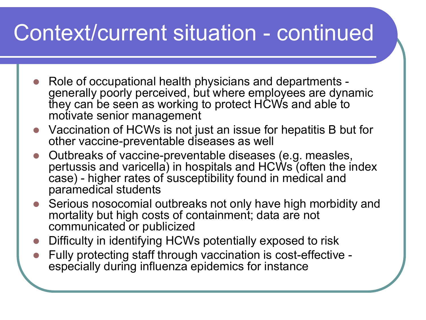- Role of occupational health physicians and departments generally poorly perceived, but where employees are dynamic they can be seen as working to protect HCWs and able to motivate senior management
- Vaccination of HCWs is not just an issue for hepatitis B but for other vaccine-preventable diseases as well
- Outbreaks of vaccine-preventable diseases (e.g. measles, pertussis and varicella) in hospitals and HCWs (often the index case) - higher rates of susceptibility found in medical and paramedical students
- Serious nosocomial outbreaks not only have high morbidity and mortality but high costs of containment; data are not communicated or publicized
- Difficulty in identifying HCWs potentially exposed to risk
- Fully protecting staff through vaccination is cost-effective especially during influenza epidemics for instance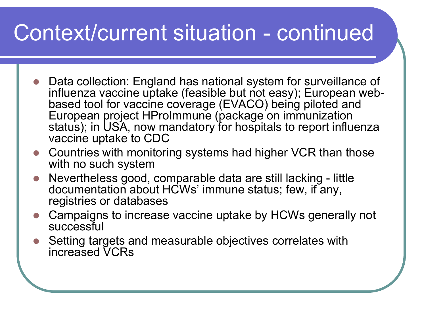- Data collection: England has national system for surveillance of influenza vaccine uptake (feasible but not easy); European webbased tool for vaccine coverage (EVACO) being piloted and European project HProImmune (package on immunization status); in USA, now mandatory for hospitals to report influenza vaccine uptake to CDC
- Countries with monitoring systems had higher VCR than those with no such system
- Nevertheless good, comparable data are still lacking little documentation about HCWs' immune status; few, if any, registries or databases
- Campaigns to increase vaccine uptake by HCWs generally not successful
- Setting targets and measurable objectives correlates with increased VCRs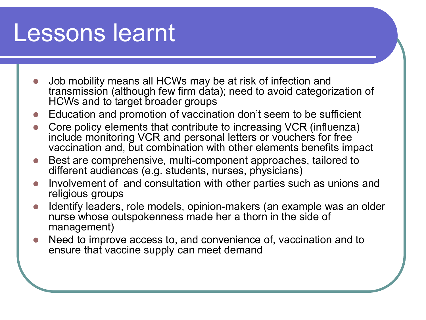#### Lessons learnt

- Job mobility means all HCWs may be at risk of infection and transmission (although few firm data); need to avoid categorization of HCWs and to target broader groups
- Education and promotion of vaccination don't seem to be sufficient
- Core policy elements that contribute to increasing VCR (influenza) include monitoring VCR and personal letters or vouchers for free vaccination and, but combination with other elements benefits impact
- Best are comprehensive, multi-component approaches, tailored to different audiences (e.g. students, nurses, physicians)
- Involvement of and consultation with other parties such as unions and religious groups
- Identify leaders, role models, opinion-makers (an example was an older nurse whose outspokenness made her a thorn in the side of management)
- Need to improve access to, and convenience of, vaccination and to ensure that vaccine supply can meet demand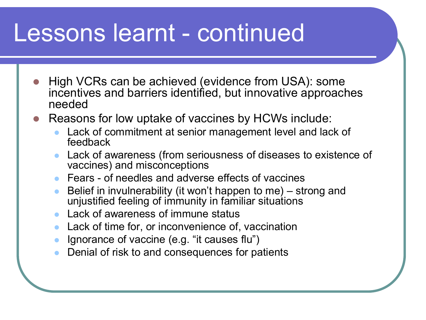#### Lessons learnt - continued

- High VCRs can be achieved (evidence from USA): some incentives and barriers identified, but innovative approaches needed
- Reasons for low uptake of vaccines by HCWs include:
	- Lack of commitment at senior management level and lack of feedback
	- Lack of awareness (from seriousness of diseases to existence of vaccines) and misconceptions
	- Fears of needles and adverse effects of vaccines
	- Belief in invulnerability (it won't happen to me) strong and unjustified feeling of immunity in familiar situations
	- Lack of awareness of immune status
	- Lack of time for, or inconvenience of, vaccination
	- Ignorance of vaccine (e.g. "it causes flu")
	- Denial of risk to and consequences for patients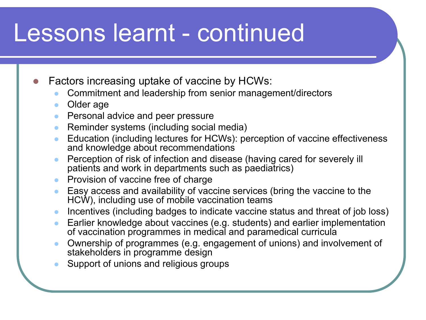#### Lessons learnt - continued

Factors increasing uptake of vaccine by HCWs:

- Commitment and leadership from senior management/directors
- Older age
- **•** Personal advice and peer pressure
- Reminder systems (including social media)
- Education (including lectures for HCWs): perception of vaccine effectiveness and knowledge about recommendations
- Perception of risk of infection and disease (having cared for severely ill patients and work in departments such as paediatrics)
- Provision of vaccine free of charge
- Easy access and availability of vaccine services (bring the vaccine to the HCW), including use of mobile vaccination teams
- Incentives (including badges to indicate vaccine status and threat of job loss)
- Earlier knowledge about vaccines (e.g. students) and earlier implementation of vaccination programmes in medical and paramedical curricula
- Ownership of programmes (e.g. engagement of unions) and involvement of stakeholders in programme design
- Support of unions and religious groups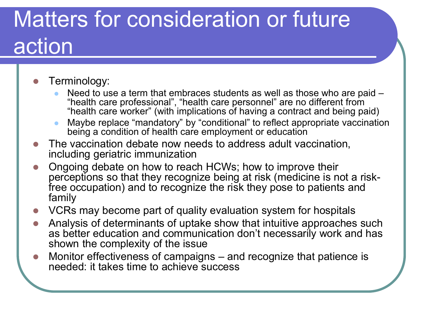## Matters for consideration or future action

#### Terminology:

- Need to use a term that embraces students as well as those who are paid "health care professional", "health care personnel" are no different from "health care worker" (with implications of having a contract and being paid)
- Maybe replace "mandatory" by "conditional" to reflect appropriate vaccination being a condition of health care employment or education
- The vaccination debate now needs to address adult vaccination, including geriatric immunization
- Ongoing debate on how to reach HCWs; how to improve their perceptions so that they recognize being at risk (medicine is not a riskfree occupation) and to recognize the risk they pose to patients and family
- VCRs may become part of quality evaluation system for hospitals
- Analysis of determinants of uptake show that intuitive approaches such as better education and communication don't necessarily work and has shown the complexity of the issue
- Monitor effectiveness of campaigns and recognize that patience is needed: it takes time to achieve success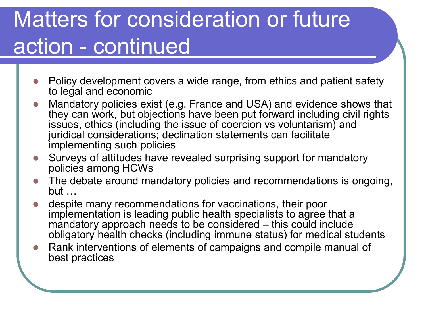## Matters for consideration or future action - continued

- Policy development covers a wide range, from ethics and patient safety to legal and economic
- Mandatory policies exist (e.g. France and USA) and evidence shows that they can work, but objections have been put forward including civil rights issues, ethics (including the issue of coercion vs voluntarism) and juridical considerations; declination statements can facilitate implementing such policies
- Surveys of attitudes have revealed surprising support for mandatory policies among HCWs
- The debate around mandatory policies and recommendations is ongoing,  $but$
- despite many recommendations for vaccinations, their poor implementation is leading public health specialists to agree that a mandatory approach needs to be considered – this could include obligatory health checks (including immune status) for medical students
- Rank interventions of elements of campaigns and compile manual of best practices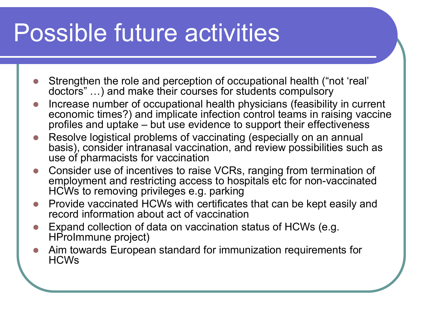# Possible future activities

- Strengthen the role and perception of occupational health ("not 'real' doctors" …) and make their courses for students compulsory
- Increase number of occupational health physicians (feasibility in current economic times?) and implicate infection control teams in raising vaccine profiles and uptake – but use evidence to support their effectiveness
- Resolve logistical problems of vaccinating (especially on an annual basis), consider intranasal vaccination, and review possibilities such as use of pharmacists for vaccination
- Consider use of incentives to raise VCRs, ranging from termination of employment and restricting access to hospitals etc for non-vaccinated HCWs to removing privileges e.g. parking
- Provide vaccinated HCWs with certificates that can be kept easily and record information about act of vaccination
- Expand collection of data on vaccination status of HCWs (e.g. HProImmune project)
- Aim towards European standard for immunization requirements for HCWs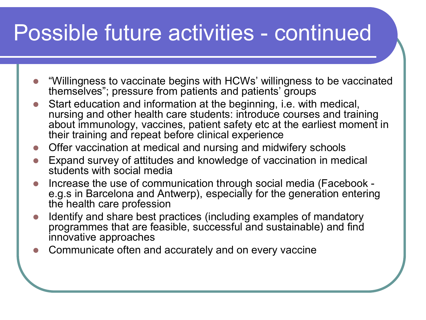#### Possible future activities - continued

- "Willingness to vaccinate begins with HCWs' willingness to be vaccinated themselves"; pressure from patients and patients' groups
- Start education and information at the beginning, i.e. with medical, nursing and other health care students: introduce courses and training about immunology, vaccines, patient safety etc at the earliest moment in their training and repeat before clinical experience
- Offer vaccination at medical and nursing and midwifery schools
- Expand survey of attitudes and knowledge of vaccination in medical students with social media
- Increase the use of communication through social media (Facebook e.g.s in Barcelona and Antwerp), especially for the generation entering the health care profession
- Identify and share best practices (including examples of mandatory programmes that are feasible, successful and sustainable) and find innovative approaches
- Communicate often and accurately and on every vaccine